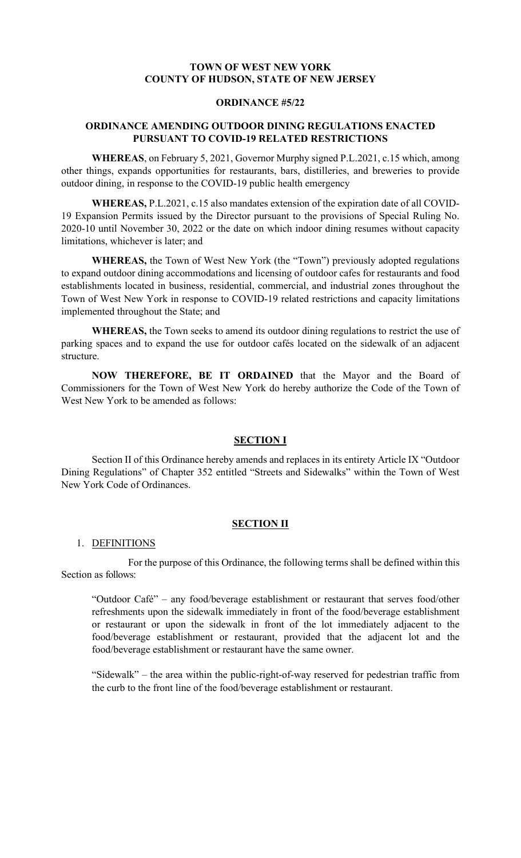# **TOWN OF WEST NEW YORK COUNTY OF HUDSON, STATE OF NEW JERSEY**

# **ORDINANCE #5/22**

### **ORDINANCE AMENDING OUTDOOR DINING REGULATIONS ENACTED PURSUANT TO COVID-19 RELATED RESTRICTIONS**

**WHEREAS**, on February 5, 2021, Governor Murphy signed P.L.2021, c.15 which, among other things, expands opportunities for restaurants, bars, distilleries, and breweries to provide outdoor dining, in response to the COVID-19 public health emergency

**WHEREAS,** P.L.2021, c.15 also mandates extension of the expiration date of all COVID-19 Expansion Permits issued by the Director pursuant to the provisions of Special Ruling No. 2020-10 until November 30, 2022 or the date on which indoor dining resumes without capacity limitations, whichever is later; and

**WHEREAS,** the Town of West New York (the "Town") previously adopted regulations to expand outdoor dining accommodations and licensing of outdoor cafes for restaurants and food establishments located in business, residential, commercial, and industrial zones throughout the Town of West New York in response to COVID-19 related restrictions and capacity limitations implemented throughout the State; and

**WHEREAS,** the Town seeks to amend its outdoor dining regulations to restrict the use of parking spaces and to expand the use for outdoor cafés located on the sidewalk of an adjacent structure.

**NOW THEREFORE, BE IT ORDAINED** that the Mayor and the Board of Commissioners for the Town of West New York do hereby authorize the Code of the Town of West New York to be amended as follows:

# **SECTION I**

Section II of this Ordinance hereby amends and replaces in its entirety Article IX "Outdoor Dining Regulations" of Chapter 352 entitled "Streets and Sidewalks" within the Town of West New York Code of Ordinances.

### **SECTION II**

#### 1. DEFINITIONS

For the purpose of this Ordinance, the following terms shall be defined within this Section as follows:

"Outdoor Café" – any food/beverage establishment or restaurant that serves food/other refreshments upon the sidewalk immediately in front of the food/beverage establishment or restaurant or upon the sidewalk in front of the lot immediately adjacent to the food/beverage establishment or restaurant, provided that the adjacent lot and the food/beverage establishment or restaurant have the same owner.

"Sidewalk" – the area within the public-right-of-way reserved for pedestrian traffic from the curb to the front line of the food/beverage establishment or restaurant.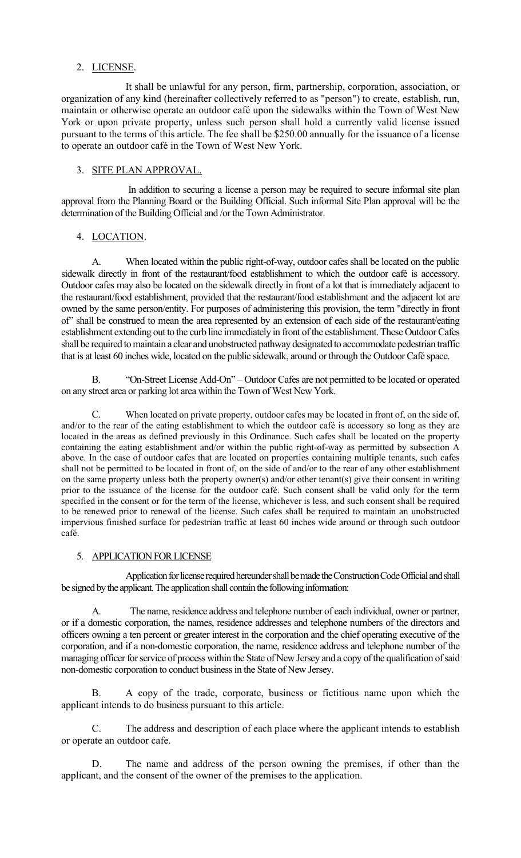# 2. LICENSE.

It shall be unlawful for any person, firm, partnership, corporation, association, or organization of any kind (hereinafter collectively referred to as "person") to create, establish, run, maintain or otherwise operate an outdoor café upon the sidewalks within the Town of West New York or upon private property, unless such person shall hold a currently valid license issued pursuant to the terms of this article. The fee shall be \$250.00 annually for the issuance of a license to operate an outdoor café in the Town of West New York.

# 3. SITE PLAN APPROVAL.

In addition to securing a license a person may be required to secure informal site plan approval from the Planning Board or the Building Official. Such informal Site Plan approval will be the determination of the Building Official and /or the Town Administrator.

# 4. LOCATION.

A. When located within the public right-of-way, outdoor cafes shall be located on the public sidewalk directly in front of the restaurant/food establishment to which the outdoor café is accessory. Outdoor cafes may also be located on the sidewalk directly in front of a lot that is immediately adjacent to the restaurant/food establishment, provided that the restaurant/food establishment and the adjacent lot are owned by the same person/entity. For purposes of administering this provision, the term "directly in front of" shall be construed to mean the area represented by an extension of each side of the restaurant/eating establishment extending out to the curb line immediately in front of the establishment. These Outdoor Cafes shall be required to maintain a clear and unobstructed pathway designated to accommodate pedestrian traffic that is at least 60 inches wide, located on the public sidewalk, around or through the Outdoor Café space.

B. "On-Street License Add-On" – Outdoor Cafes are not permitted to be located or operated on any street area or parking lot area within the Town of West New York.

C. When located on private property, outdoor cafes may be located in front of, on the side of, and/or to the rear of the eating establishment to which the outdoor café is accessory so long as they are located in the areas as defined previously in this Ordinance. Such cafes shall be located on the property containing the eating establishment and/or within the public right-of-way as permitted by subsection A above. In the case of outdoor cafes that are located on properties containing multiple tenants, such cafes shall not be permitted to be located in front of, on the side of and/or to the rear of any other establishment on the same property unless both the property owner(s) and/or other tenant(s) give their consent in writing prior to the issuance of the license for the outdoor café. Such consent shall be valid only for the term specified in the consent or for the term of the license, whichever is less, and such consent shall be required to be renewed prior to renewal of the license. Such cafes shall be required to maintain an unobstructed impervious finished surface for pedestrian traffic at least 60 inches wide around or through such outdoor café.

# 5. APPLICATION FOR LICENSE

Application for license required hereunder shall be made the Construction Code Official and shall be signed by the applicant. The application shall contain the following information:

A. The name, residence address and telephone number of each individual, owner or partner, or if a domestic corporation, the names, residence addresses and telephone numbers of the directors and officers owning a ten percent or greater interest in the corporation and the chief operating executive of the corporation, and if a non-domestic corporation, the name, residence address and telephone number of the managing officer for service of process within the State of New Jersey and a copy of the qualification of said non-domestic corporation to conduct business in the State of New Jersey.

B. A copy of the trade, corporate, business or fictitious name upon which the applicant intends to do business pursuant to this article.

C. The address and description of each place where the applicant intends to establish or operate an outdoor cafe.

D. The name and address of the person owning the premises, if other than the applicant, and the consent of the owner of the premises to the application.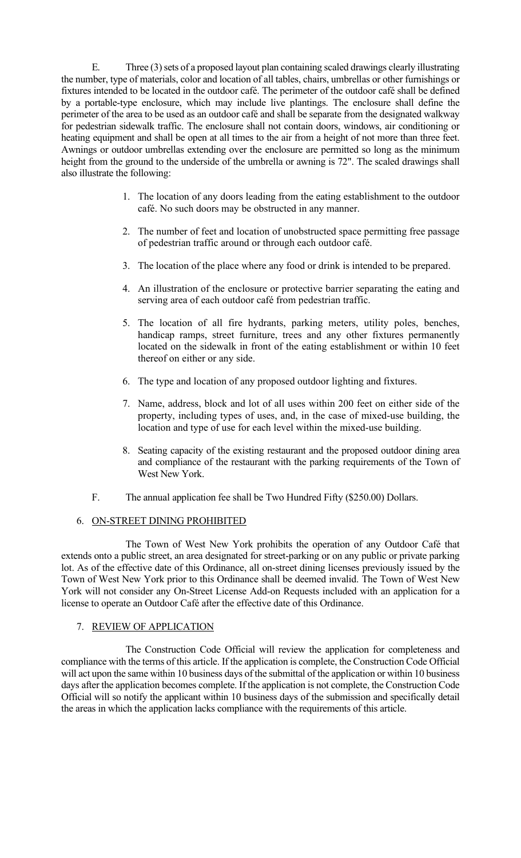E. Three (3) sets of a proposed layout plan containing scaled drawings clearly illustrating the number, type of materials, color and location of all tables, chairs, umbrellas or other furnishings or fixtures intended to be located in the outdoor café. The perimeter of the outdoor café shall be defined by a portable-type enclosure, which may include live plantings. The enclosure shall define the perimeter of the area to be used as an outdoor café and shall be separate from the designated walkway for pedestrian sidewalk traffic. The enclosure shall not contain doors, windows, air conditioning or heating equipment and shall be open at all times to the air from a height of not more than three feet. Awnings or outdoor umbrellas extending over the enclosure are permitted so long as the minimum height from the ground to the underside of the umbrella or awning is 72". The scaled drawings shall also illustrate the following:

- 1. The location of any doors leading from the eating establishment to the outdoor café. No such doors may be obstructed in any manner.
- 2. The number of feet and location of unobstructed space permitting free passage of pedestrian traffic around or through each outdoor café.
- 3. The location of the place where any food or drink is intended to be prepared.
- 4. An illustration of the enclosure or protective barrier separating the eating and serving area of each outdoor café from pedestrian traffic.
- 5. The location of all fire hydrants, parking meters, utility poles, benches, handicap ramps, street furniture, trees and any other fixtures permanently located on the sidewalk in front of the eating establishment or within 10 feet thereof on either or any side.
- 6. The type and location of any proposed outdoor lighting and fixtures.
- 7. Name, address, block and lot of all uses within 200 feet on either side of the property, including types of uses, and, in the case of mixed-use building, the location and type of use for each level within the mixed-use building.
- 8. Seating capacity of the existing restaurant and the proposed outdoor dining area and compliance of the restaurant with the parking requirements of the Town of West New York.
- F. The annual application fee shall be Two Hundred Fifty (\$250.00) Dollars.

### 6. ON-STREET DINING PROHIBITED

The Town of West New York prohibits the operation of any Outdoor Café that extends onto a public street, an area designated for street-parking or on any public or private parking lot. As of the effective date of this Ordinance, all on-street dining licenses previously issued by the Town of West New York prior to this Ordinance shall be deemed invalid. The Town of West New York will not consider any On-Street License Add-on Requests included with an application for a license to operate an Outdoor Café after the effective date of this Ordinance.

### 7. REVIEW OF APPLICATION

The Construction Code Official will review the application for completeness and compliance with the terms of this article. If the application is complete, the Construction Code Official will act upon the same within 10 business days of the submittal of the application or within 10 business days after the application becomes complete. If the application is not complete, the Construction Code Official will so notify the applicant within 10 business days of the submission and specifically detail the areas in which the application lacks compliance with the requirements of this article.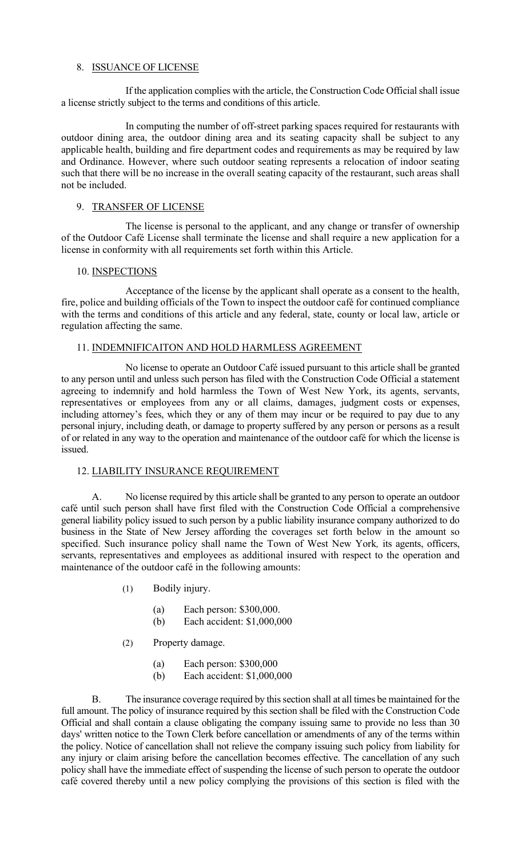# 8. ISSUANCE OF LICENSE

If the application complies with the article, the Construction Code Official shall issue a license strictly subject to the terms and conditions of this article.

In computing the number of off-street parking spaces required for restaurants with outdoor dining area, the outdoor dining area and its seating capacity shall be subject to any applicable health, building and fire department codes and requirements as may be required by law and Ordinance. However, where such outdoor seating represents a relocation of indoor seating such that there will be no increase in the overall seating capacity of the restaurant, such areas shall not be included.

## 9. TRANSFER OF LICENSE

The license is personal to the applicant, and any change or transfer of ownership of the Outdoor Café License shall terminate the license and shall require a new application for a license in conformity with all requirements set forth within this Article.

### 10. INSPECTIONS

Acceptance of the license by the applicant shall operate as a consent to the health, fire, police and building officials of the Town to inspect the outdoor café for continued compliance with the terms and conditions of this article and any federal, state, county or local law, article or regulation affecting the same.

### 11. INDEMNIFICAITON AND HOLD HARMLESS AGREEMENT

No license to operate an Outdoor Café issued pursuant to this article shall be granted to any person until and unless such person has filed with the Construction Code Official a statement agreeing to indemnify and hold harmless the Town of West New York, its agents, servants, representatives or employees from any or all claims, damages, judgment costs or expenses, including attorney's fees, which they or any of them may incur or be required to pay due to any personal injury, including death, or damage to property suffered by any person or persons as a result of or related in any way to the operation and maintenance of the outdoor café for which the license is issued.

### 12. LIABILITY INSURANCE REQUIREMENT

A. No license required by this article shall be granted to any person to operate an outdoor café until such person shall have first filed with the Construction Code Official a comprehensive general liability policy issued to such person by a public liability insurance company authorized to do business in the State of New Jersey affording the coverages set forth below in the amount so specified. Such insurance policy shall name the Town of West New York*,* its agents, officers, servants, representatives and employees as additional insured with respect to the operation and maintenance of the outdoor café in the following amounts:

- (1) Bodily injury.
	- (a) Each person: \$300,000.
	- (b) Each accident: \$1,000,000
- (2) Property damage.
	- (a) Each person: \$300,000
	- (b) Each accident: \$1,000,000

B. The insurance coverage required by this section shall at all times be maintained for the full amount. The policy of insurance required by this section shall be filed with the Construction Code Official and shall contain a clause obligating the company issuing same to provide no less than 30 days' written notice to the Town Clerk before cancellation or amendments of any of the terms within the policy. Notice of cancellation shall not relieve the company issuing such policy from liability for any injury or claim arising before the cancellation becomes effective. The cancellation of any such policy shall have the immediate effect of suspending the license of such person to operate the outdoor café covered thereby until a new policy complying the provisions of this section is filed with the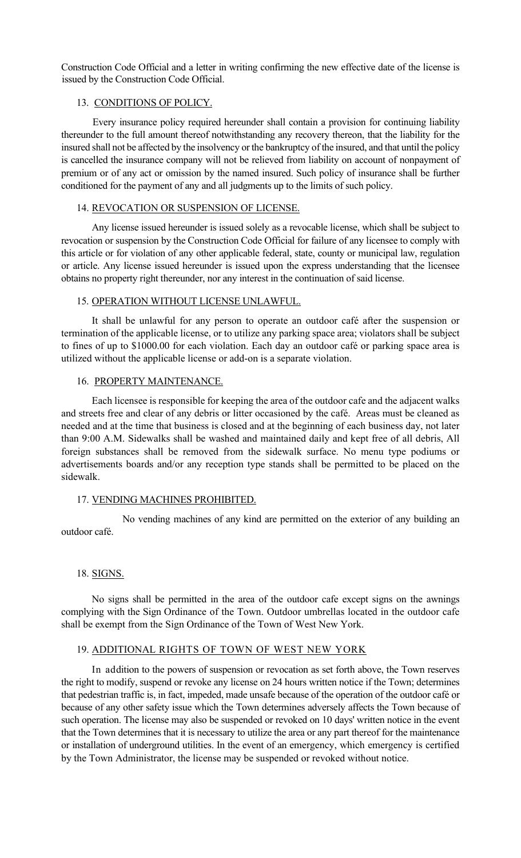Construction Code Official and a letter in writing confirming the new effective date of the license is issued by the Construction Code Official.

# 13. CONDITIONS OF POLICY.

Every insurance policy required hereunder shall contain a provision for continuing liability thereunder to the full amount thereof notwithstanding any recovery thereon, that the liability for the insured shall not be affected by the insolvency or the bankruptcy of the insured, and that until the policy is cancelled the insurance company will not be relieved from liability on account of nonpayment of premium or of any act or omission by the named insured. Such policy of insurance shall be further conditioned for the payment of any and all judgments up to the limits of such policy.

# 14. REVOCATION OR SUSPENSION OF LICENSE.

Any license issued hereunder is issued solely as a revocable license, which shall be subject to revocation or suspension by the Construction Code Official for failure of any licensee to comply with this article or for violation of any other applicable federal, state, county or municipal law, regulation or article. Any license issued hereunder is issued upon the express understanding that the licensee obtains no property right thereunder, nor any interest in the continuation of said license.

# 15. OPERATION WITHOUT LICENSE UNLAWFUL.

It shall be unlawful for any person to operate an outdoor café after the suspension or termination of the applicable license, or to utilize any parking space area; violators shall be subject to fines of up to \$1000.00 for each violation. Each day an outdoor café or parking space area is utilized without the applicable license or add-on is a separate violation.

# 16. PROPERTY MAINTENANCE.

Each licensee is responsible for keeping the area of the outdoor cafe and the adjacent walks and streets free and clear of any debris or litter occasioned by the café. Areas must be cleaned as needed and at the time that business is closed and at the beginning of each business day, not later than 9:00 A.M. Sidewalks shall be washed and maintained daily and kept free of all debris, All foreign substances shall be removed from the sidewalk surface. No menu type podiums or advertisements boards and/or any reception type stands shall be permitted to be placed on the sidewalk.

# 17. VENDING MACHINES PROHIBITED.

No vending machines of any kind are permitted on the exterior of any building an outdoor café.

# 18. SIGNS.

No signs shall be permitted in the area of the outdoor cafe except signs on the awnings complying with the Sign Ordinance of the Town. Outdoor umbrellas located in the outdoor cafe shall be exempt from the Sign Ordinance of the Town of West New York.

# 19. ADDITIONAL RIGHTS OF TOWN OF WEST NEW YORK

In addition to the powers of suspension or revocation as set forth above, the Town reserves the right to modify, suspend or revoke any license on 24 hours written notice if the Town; determines that pedestrian traffic is, in fact, impeded, made unsafe because of the operation of the outdoor café or because of any other safety issue which the Town determines adversely affects the Town because of such operation. The license may also be suspended or revoked on 10 days' written notice in the event that the Town determines that it is necessary to utilize the area or any part thereof for the maintenance or installation of underground utilities. In the event of an emergency, which emergency is certified by the Town Administrator, the license may be suspended or revoked without notice.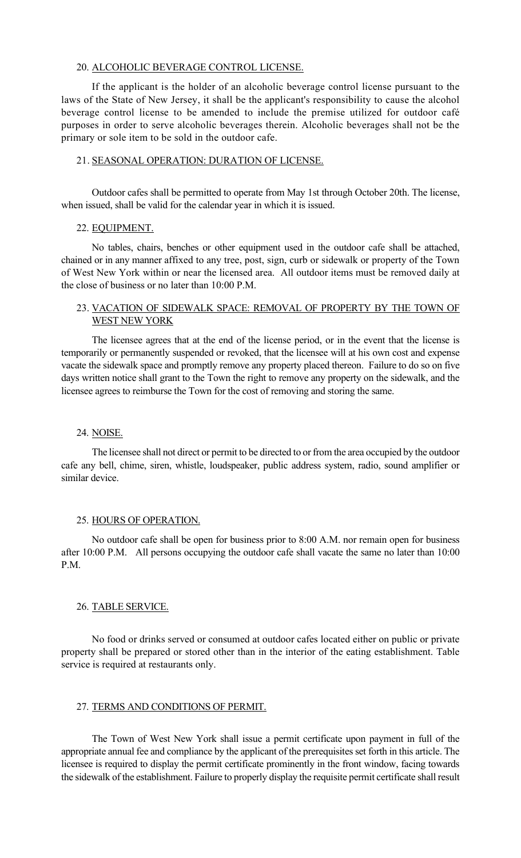#### 20. ALCOHOLIC BEVERAGE CONTROL LICENSE.

If the applicant is the holder of an alcoholic beverage control license pursuant to the laws of the State of New Jersey, it shall be the applicant's responsibility to cause the alcohol beverage control license to be amended to include the premise utilized for outdoor café purposes in order to serve alcoholic beverages therein. Alcoholic beverages shall not be the primary or sole item to be sold in the outdoor cafe.

#### 21. SEASONAL OPERATION: DURATION OF LICENSE.

Outdoor cafes shall be permitted to operate from May 1st through October 20th. The license, when issued, shall be valid for the calendar year in which it is issued.

#### 22. EQUIPMENT.

No tables, chairs, benches or other equipment used in the outdoor cafe shall be attached, chained or in any manner affixed to any tree, post, sign, curb or sidewalk or property of the Town of West New York within or near the licensed area. All outdoor items must be removed daily at the close of business or no later than 10:00 P.M.

# 23. VACATION OF SIDEWALK SPACE: REMOVAL OF PROPERTY BY THE TOWN OF WEST NEW YORK

The licensee agrees that at the end of the license period, or in the event that the license is temporarily or permanently suspended or revoked, that the licensee will at his own cost and expense vacate the sidewalk space and promptly remove any property placed thereon. Failure to do so on five days written notice shall grant to the Town the right to remove any property on the sidewalk, and the licensee agrees to reimburse the Town for the cost of removing and storing the same.

#### 24. NOISE.

The licensee shall not direct or permit to be directed to or from the area occupied by the outdoor cafe any bell, chime, siren, whistle, loudspeaker, public address system, radio, sound amplifier or similar device.

#### 25. HOURS OF OPERATION.

No outdoor cafe shall be open for business prior to 8:00 A.M. nor remain open for business after 10:00 P.M. All persons occupying the outdoor cafe shall vacate the same no later than 10:00 P.M.

#### 26. TABLE SERVICE.

No food or drinks served or consumed at outdoor cafes located either on public or private property shall be prepared or stored other than in the interior of the eating establishment. Table service is required at restaurants only.

### 27. TERMS AND CONDITIONS OF PERMIT.

The Town of West New York shall issue a permit certificate upon payment in full of the appropriate annual fee and compliance by the applicant of the prerequisites set forth in this article. The licensee is required to display the permit certificate prominently in the front window, facing towards the sidewalk of the establishment. Failure to properly display the requisite permit certificate shall result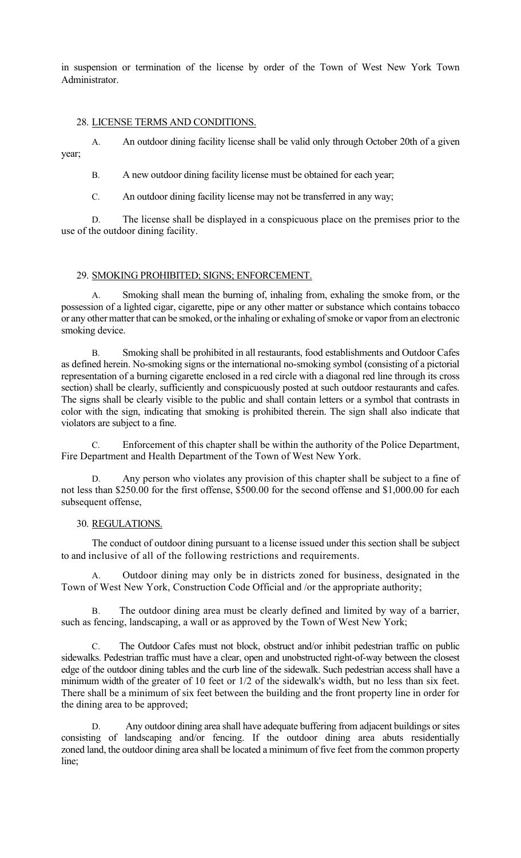in suspension or termination of the license by order of the Town of West New York Town Administrator.

# 28. LICENSE TERMS AND CONDITIONS.

A. An outdoor dining facility license shall be valid only through October 20th of a given year;

B. A new outdoor dining facility license must be obtained for each year;

C. An outdoor dining facility license may not be transferred in any way;

D. The license shall be displayed in a conspicuous place on the premises prior to the use of the outdoor dining facility.

# 29. SMOKING PROHIBITED; SIGNS; ENFORCEMENT.

Smoking shall mean the burning of, inhaling from, exhaling the smoke from, or the possession of a lighted cigar, cigarette, pipe or any other matter or substance which contains tobacco or any other matter that can be smoked, or the inhaling or exhaling of smoke or vapor from an electronic smoking device.

B. Smoking shall be prohibited in all restaurants, food establishments and Outdoor Cafes as defined herein. No-smoking signs or the international no-smoking symbol (consisting of a pictorial representation of a burning cigarette enclosed in a red circle with a diagonal red line through its cross section) shall be clearly, sufficiently and conspicuously posted at such outdoor restaurants and cafes. The signs shall be clearly visible to the public and shall contain letters or a symbol that contrasts in color with the sign, indicating that smoking is prohibited therein. The sign shall also indicate that violators are subject to a fine.

C. Enforcement of this chapter shall be within the authority of the Police Department, Fire Department and Health Department of the Town of West New York.

D. Any person who violates any provision of this chapter shall be subject to a fine of not less than \$250.00 for the first offense, \$500.00 for the second offense and \$1,000.00 for each subsequent offense,

# 30. REGULATIONS.

The conduct of outdoor dining pursuant to a license issued under this section shall be subject to and inclusive of all of the following restrictions and requirements.

A. Outdoor dining may only be in districts zoned for business, designated in the Town of West New York, Construction Code Official and /or the appropriate authority;

B. The outdoor dining area must be clearly defined and limited by way of a barrier, such as fencing, landscaping, a wall or as approved by the Town of West New York;

C. The Outdoor Cafes must not block, obstruct and/or inhibit pedestrian traffic on public sidewalks. Pedestrian traffic must have a clear, open and unobstructed right-of-way between the closest edge of the outdoor dining tables and the curb line of the sidewalk. Such pedestrian access shall have a minimum width of the greater of 10 feet or 1/2 of the sidewalk's width, but no less than six feet. There shall be a minimum of six feet between the building and the front property line in order for the dining area to be approved;

Any outdoor dining area shall have adequate buffering from adjacent buildings or sites consisting of landscaping and/or fencing. If the outdoor dining area abuts residentially zoned land, the outdoor dining area shall be located a minimum of five feet from the common property line;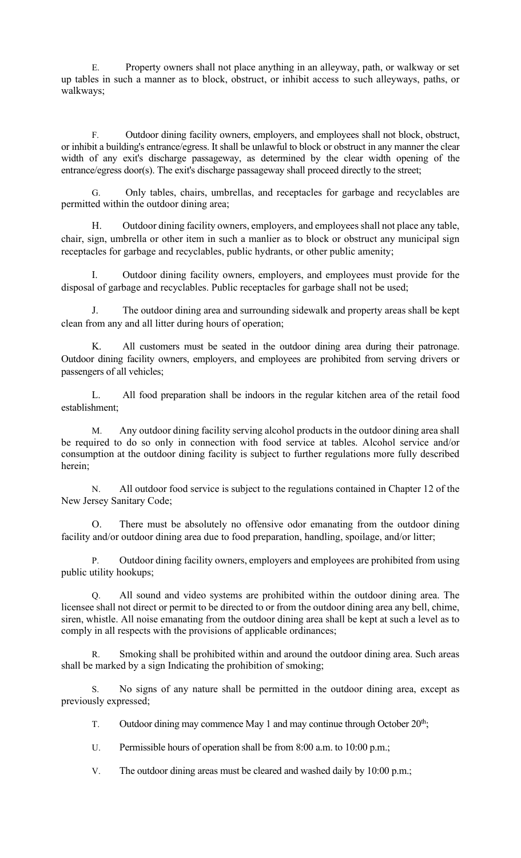E. Property owners shall not place anything in an alleyway, path, or walkway or set up tables in such a manner as to block, obstruct, or inhibit access to such alleyways, paths, or walkways;

F. Outdoor dining facility owners, employers, and employees shall not block, obstruct, or inhibit a building's entrance/egress. It shall be unlawful to block or obstruct in any manner the clear width of any exit's discharge passageway, as determined by the clear width opening of the entrance/egress door(s). The exit's discharge passageway shall proceed directly to the street;

G. Only tables, chairs, umbrellas, and receptacles for garbage and recyclables are permitted within the outdoor dining area;

Outdoor dining facility owners, employers, and employees shall not place any table, chair, sign, umbrella or other item in such a manlier as to block or obstruct any municipal sign receptacles for garbage and recyclables, public hydrants, or other public amenity;

I. Outdoor dining facility owners, employers, and employees must provide for the disposal of garbage and recyclables. Public receptacles for garbage shall not be used;

J. The outdoor dining area and surrounding sidewalk and property areas shall be kept clean from any and all litter during hours of operation;

K. All customers must be seated in the outdoor dining area during their patronage. Outdoor dining facility owners, employers, and employees are prohibited from serving drivers or passengers of all vehicles;

L. All food preparation shall be indoors in the regular kitchen area of the retail food establishment;

M. Any outdoor dining facility serving alcohol products in the outdoor dining area shall be required to do so only in connection with food service at tables. Alcohol service and/or consumption at the outdoor dining facility is subject to further regulations more fully described herein;

N. All outdoor food service is subject to the regulations contained in Chapter 12 of the New Jersey Sanitary Code;

O. There must be absolutely no offensive odor emanating from the outdoor dining facility and/or outdoor dining area due to food preparation, handling, spoilage, and/or litter;

P. Outdoor dining facility owners, employers and employees are prohibited from using public utility hookups;

Q. All sound and video systems are prohibited within the outdoor dining area. The licensee shall not direct or permit to be directed to or from the outdoor dining area any bell, chime, siren, whistle. All noise emanating from the outdoor dining area shall be kept at such a level as to comply in all respects with the provisions of applicable ordinances;

R. Smoking shall be prohibited within and around the outdoor dining area. Such areas shall be marked by a sign Indicating the prohibition of smoking;

S. No signs of any nature shall be permitted in the outdoor dining area, except as previously expressed;

T. Outdoor dining may commence May 1 and may continue through October  $20<sup>th</sup>$ ;

U. Permissible hours of operation shall be from 8:00 a.m. to 10:00 p.m.;

V. The outdoor dining areas must be cleared and washed daily by 10:00 p.m.;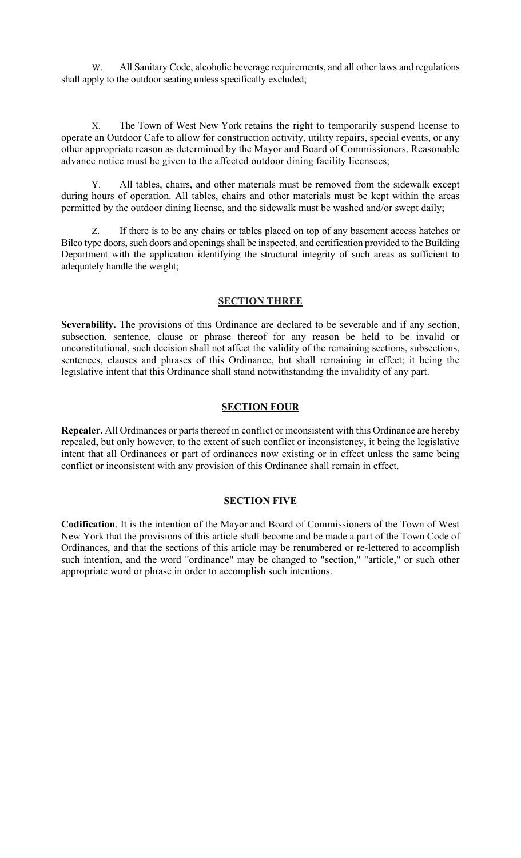W. All Sanitary Code, alcoholic beverage requirements, and all other laws and regulations shall apply to the outdoor seating unless specifically excluded;

X. The Town of West New York retains the right to temporarily suspend license to operate an Outdoor Cafe to allow for construction activity, utility repairs, special events, or any other appropriate reason as determined by the Mayor and Board of Commissioners. Reasonable advance notice must be given to the affected outdoor dining facility licensees;

Y. All tables, chairs, and other materials must be removed from the sidewalk except during hours of operation. All tables, chairs and other materials must be kept within the areas permitted by the outdoor dining license, and the sidewalk must be washed and/or swept daily;

Z. If there is to be any chairs or tables placed on top of any basement access hatches or Bilco type doors, such doors and openings shall be inspected, and certification provided to the Building Department with the application identifying the structural integrity of such areas as sufficient to adequately handle the weight;

### **SECTION THREE**

**Severability.** The provisions of this Ordinance are declared to be severable and if any section, subsection, sentence, clause or phrase thereof for any reason be held to be invalid or unconstitutional, such decision shall not affect the validity of the remaining sections, subsections, sentences, clauses and phrases of this Ordinance, but shall remaining in effect; it being the legislative intent that this Ordinance shall stand notwithstanding the invalidity of any part.

### **SECTION FOUR**

**Repealer.** All Ordinances or parts thereof in conflict or inconsistent with this Ordinance are hereby repealed, but only however, to the extent of such conflict or inconsistency, it being the legislative intent that all Ordinances or part of ordinances now existing or in effect unless the same being conflict or inconsistent with any provision of this Ordinance shall remain in effect.

# **SECTION FIVE**

**Codification**. It is the intention of the Mayor and Board of Commissioners of the Town of West New York that the provisions of this article shall become and be made a part of the Town Code of Ordinances, and that the sections of this article may be renumbered or re-lettered to accomplish such intention, and the word "ordinance" may be changed to "section," "article," or such other appropriate word or phrase in order to accomplish such intentions.